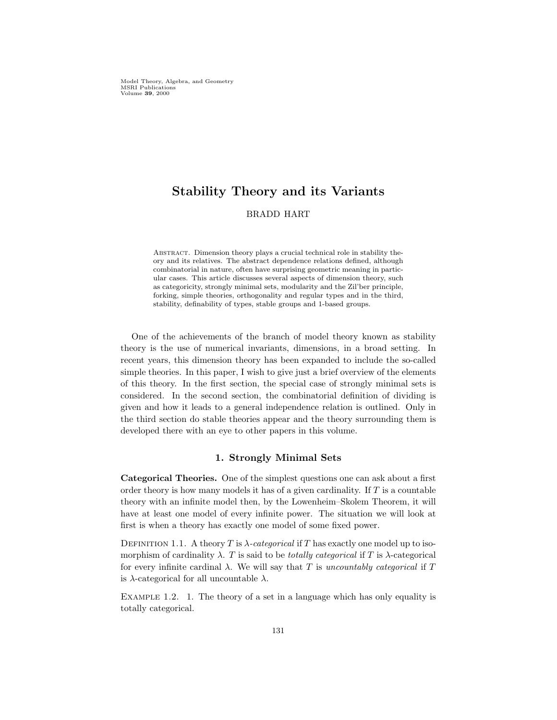Model Theory, Algebra, and Geometry MSRI Publications Volume 39, 2000

# Stability Theory and its Variants

## BRADD HART

Abstract. Dimension theory plays a crucial technical role in stability theory and its relatives. The abstract dependence relations defined, although combinatorial in nature, often have surprising geometric meaning in particular cases. This article discusses several aspects of dimension theory, such as categoricity, strongly minimal sets, modularity and the Zil'ber principle, forking, simple theories, orthogonality and regular types and in the third, stability, definability of types, stable groups and 1-based groups.

One of the achievements of the branch of model theory known as stability theory is the use of numerical invariants, dimensions, in a broad setting. In recent years, this dimension theory has been expanded to include the so-called simple theories. In this paper, I wish to give just a brief overview of the elements of this theory. In the first section, the special case of strongly minimal sets is considered. In the second section, the combinatorial definition of dividing is given and how it leads to a general independence relation is outlined. Only in the third section do stable theories appear and the theory surrounding them is developed there with an eye to other papers in this volume.

## 1. Strongly Minimal Sets

Categorical Theories. One of the simplest questions one can ask about a first order theory is how many models it has of a given cardinality. If  $T$  is a countable theory with an infinite model then, by the Lowenheim–Skolem Theorem, it will have at least one model of every infinite power. The situation we will look at first is when a theory has exactly one model of some fixed power.

DEFINITION 1.1. A theory T is  $\lambda$ -categorical if T has exactly one model up to isomorphism of cardinality  $\lambda$ . T is said to be *totally categorical* if T is  $\lambda$ -categorical for every infinite cardinal  $\lambda$ . We will say that T is uncountably categorical if T is  $\lambda$ -categorical for all uncountable  $\lambda$ .

EXAMPLE 1.2. 1. The theory of a set in a language which has only equality is totally categorical.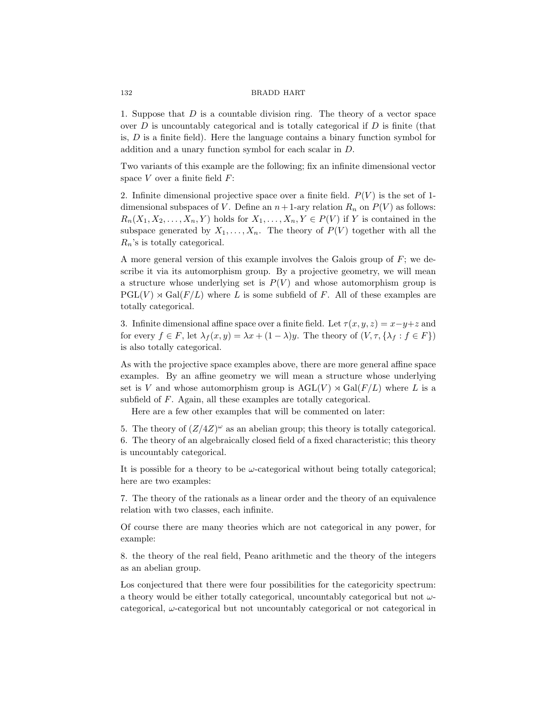1. Suppose that  $D$  is a countable division ring. The theory of a vector space over  $D$  is uncountably categorical and is totally categorical if  $D$  is finite (that is,  $D$  is a finite field). Here the language contains a binary function symbol for addition and a unary function symbol for each scalar in D.

Two variants of this example are the following; fix an infinite dimensional vector space  $V$  over a finite field  $F$ :

2. Infinite dimensional projective space over a finite field.  $P(V)$  is the set of 1dimensional subspaces of V. Define an  $n+1$ -ary relation  $R_n$  on  $P(V)$  as follows:  $R_n(X_1, X_2, \ldots, X_n, Y)$  holds for  $X_1, \ldots, X_n, Y \in P(V)$  if Y is contained in the subspace generated by  $X_1, \ldots, X_n$ . The theory of  $P(V)$  together with all the  $R_n$ 's is totally categorical.

A more general version of this example involves the Galois group of  $F$ ; we describe it via its automorphism group. By a projective geometry, we will mean a structure whose underlying set is  $P(V)$  and whose automorphism group is  $PGL(V) \rtimes Gal(F/L)$  where L is some subfield of F. All of these examples are totally categorical.

3. Infinite dimensional affine space over a finite field. Let  $\tau(x, y, z) = x - y + z$  and for every  $f \in F$ , let  $\lambda_f(x, y) = \lambda x + (1 - \lambda)y$ . The theory of  $(V, \tau, {\lambda_f : f \in F})$ is also totally categorical.

As with the projective space examples above, there are more general affine space examples. By an affine geometry we will mean a structure whose underlying set is V and whose automorphism group is  $AGL(V) \rtimes Gal(F/L)$  where L is a subfield of F. Again, all these examples are totally categorical.

Here are a few other examples that will be commented on later:

5. The theory of  $(Z/4Z)^\omega$  as an abelian group; this theory is totally categorical. 6. The theory of an algebraically closed field of a fixed characteristic; this theory is uncountably categorical.

It is possible for a theory to be  $\omega$ -categorical without being totally categorical; here are two examples:

7. The theory of the rationals as a linear order and the theory of an equivalence relation with two classes, each infinite.

Of course there are many theories which are not categorical in any power, for example:

8. the theory of the real field, Peano arithmetic and the theory of the integers as an abelian group.

 Los conjectured that there were four possibilities for the categoricity spectrum: a theory would be either totally categorical, uncountably categorical but not  $\omega$ categorical,  $\omega$ -categorical but not uncountably categorical or not categorical in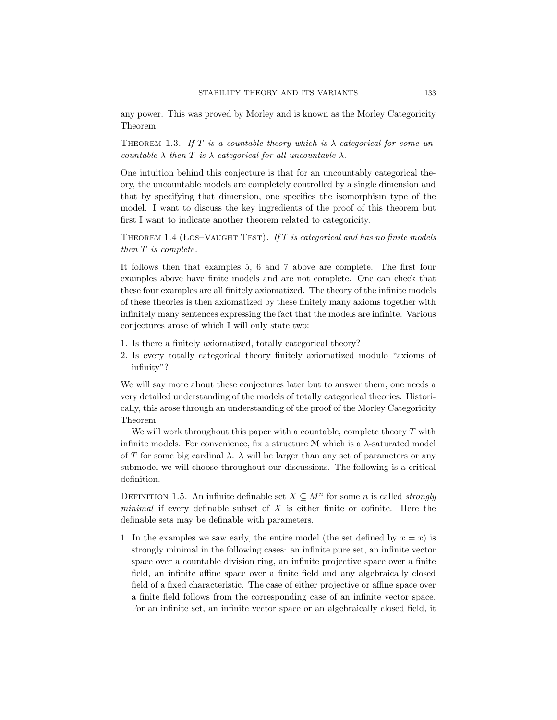any power. This was proved by Morley and is known as the Morley Categoricity Theorem:

THEOREM 1.3. If T is a countable theory which is  $\lambda$ -categorical for some uncountable  $\lambda$  then T is  $\lambda$ -categorical for all uncountable  $\lambda$ .

One intuition behind this conjecture is that for an uncountably categorical theory, the uncountable models are completely controlled by a single dimension and that by specifying that dimension, one specifies the isomorphism type of the model. I want to discuss the key ingredients of the proof of this theorem but first I want to indicate another theorem related to categoricity.

THEOREM 1.4 (LOS–VAUGHT TEST). If  $T$  is categorical and has no finite models then T is complete.

It follows then that examples 5, 6 and 7 above are complete. The first four examples above have finite models and are not complete. One can check that these four examples are all finitely axiomatized. The theory of the infinite models of these theories is then axiomatized by these finitely many axioms together with infinitely many sentences expressing the fact that the models are infinite. Various conjectures arose of which I will only state two:

- 1. Is there a finitely axiomatized, totally categorical theory?
- 2. Is every totally categorical theory finitely axiomatized modulo "axioms of infinity"?

We will say more about these conjectures later but to answer them, one needs a very detailed understanding of the models of totally categorical theories. Historically, this arose through an understanding of the proof of the Morley Categoricity Theorem.

We will work throughout this paper with a countable, complete theory  $T$  with infinite models. For convenience, fix a structure  $M$  which is a  $\lambda$ -saturated model of T for some big cardinal  $\lambda$ .  $\lambda$  will be larger than any set of parameters or any submodel we will choose throughout our discussions. The following is a critical definition.

DEFINITION 1.5. An infinite definable set  $X \subseteq M^n$  for some n is called *strongly minimal* if every definable subset of  $X$  is either finite or cofinite. Here the definable sets may be definable with parameters.

1. In the examples we saw early, the entire model (the set defined by  $x = x$ ) is strongly minimal in the following cases: an infinite pure set, an infinite vector space over a countable division ring, an infinite projective space over a finite field, an infinite affine space over a finite field and any algebraically closed field of a fixed characteristic. The case of either projective or affine space over a finite field follows from the corresponding case of an infinite vector space. For an infinite set, an infinite vector space or an algebraically closed field, it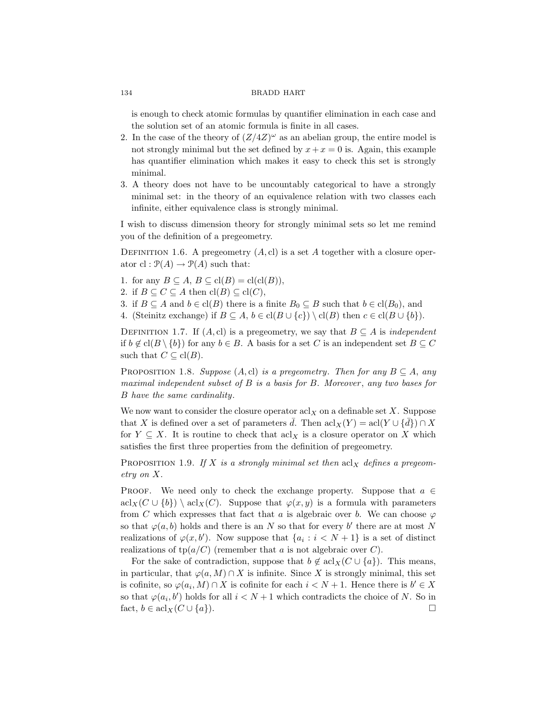is enough to check atomic formulas by quantifier elimination in each case and the solution set of an atomic formula is finite in all cases.

- 2. In the case of the theory of  $(Z/4Z)^\omega$  as an abelian group, the entire model is not strongly minimal but the set defined by  $x + x = 0$  is. Again, this example has quantifier elimination which makes it easy to check this set is strongly minimal.
- 3. A theory does not have to be uncountably categorical to have a strongly minimal set: in the theory of an equivalence relation with two classes each infinite, either equivalence class is strongly minimal.

I wish to discuss dimension theory for strongly minimal sets so let me remind you of the definition of a pregeometry.

DEFINITION 1.6. A pregeometry  $(A, c)$  is a set A together with a closure operator cl :  $\mathcal{P}(A) \to \mathcal{P}(A)$  such that:

- 1. for any  $B \subseteq A$ ,  $B \subseteq \text{cl}(B) = \text{cl}(\text{cl}(B)),$
- 2. if  $B \subseteq C \subseteq A$  then  $\text{cl}(B) \subseteq \text{cl}(C)$ ,
- 3. if  $B \subseteq A$  and  $b \in \text{cl}(B)$  there is a finite  $B_0 \subseteq B$  such that  $b \in \text{cl}(B_0)$ , and
- 4. (Steinitz exchange) if  $B \subseteq A$ ,  $b \in \text{cl}(B \cup \{c\}) \setminus \text{cl}(B)$  then  $c \in \text{cl}(B \cup \{b\})$ .

DEFINITION 1.7. If  $(A, c)$  is a pregeometry, we say that  $B \subseteq A$  is independent if  $b \notin \text{cl}(B \setminus \{b\})$  for any  $b \in B$ . A basis for a set C is an independent set  $B \subseteq C$ such that  $C \subseteq cl(B)$ .

PROPOSITION 1.8. Suppose  $(A, c)$  is a pregeometry. Then for any  $B \subseteq A$ , any maximal independent subset of  $B$  is a basis for  $B$ . Moreover, any two bases for B have the same cardinality.

We now want to consider the closure operator  $\operatorname{acl}_X$  on a definable set X. Suppose that X is defined over a set of parameters d. Then  $\operatorname{acl}_X(Y) = \operatorname{acl}(Y \cup \{d\}) \cap X$ for  $Y \subseteq X$ . It is routine to check that  $\operatorname{acl}_X$  is a closure operator on X which satisfies the first three properties from the definition of pregeometry.

PROPOSITION 1.9. If X is a strongly minimal set then  $\operatorname{acl}_X$  defines a pregeometry on X.

PROOF. We need only to check the exchange property. Suppose that  $a \in$  $\operatorname{acl}_X(C \cup \{b\}) \setminus \operatorname{acl}_X(C)$ . Suppose that  $\varphi(x, y)$  is a formula with parameters from C which expresses that fact that a is algebraic over b. We can choose  $\varphi$ so that  $\varphi(a, b)$  holds and there is an N so that for every b' there are at most N realizations of  $\varphi(x, b')$ . Now suppose that  $\{a_i : i < N + 1\}$  is a set of distinct realizations of  $tp(a/C)$  (remember that a is not algebraic over C).

For the sake of contradiction, suppose that  $b \notin \operatorname{acl}_X(C \cup \{a\})$ . This means, in particular, that  $\varphi(a, M) \cap X$  is infinite. Since X is strongly minimal, this set is cofinite, so  $\varphi(a_i, M) \cap X$  is cofinite for each  $i < N + 1$ . Hence there is  $b' \in X$ so that  $\varphi(a_i, b')$  holds for all  $i < N + 1$  which contradicts the choice of N. So in fact,  $b \in \operatorname{acl}_X(C \cup \{a\}).$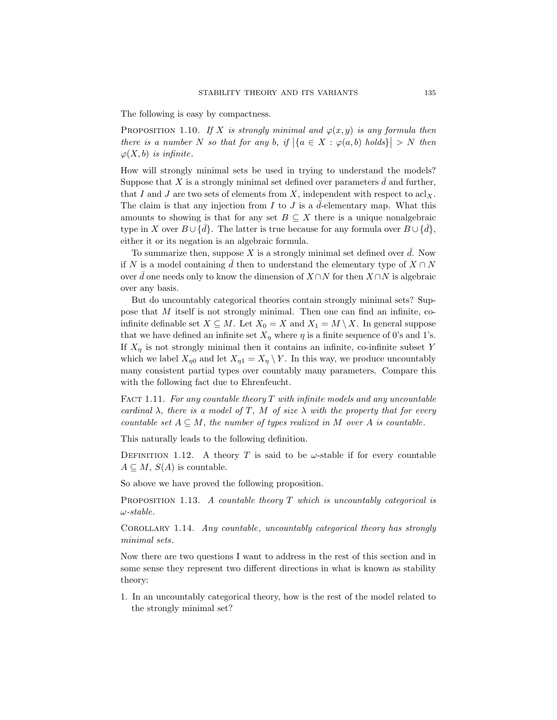The following is easy by compactness.

PROPOSITION 1.10. If X is strongly minimal and  $\varphi(x, y)$  is any formula then there is a number N so that for any b, if  $|\{a \in X : \varphi(a,b) \text{ holds}\}| > N$  then  $\varphi(X, b)$  is infinite.

How will strongly minimal sets be used in trying to understand the models? Suppose that  $X$  is a strongly minimal set defined over parameters  $d$  and further, that I and J are two sets of elements from X, independent with respect to acl x. The claim is that any injection from  $I$  to  $J$  is a  $d$ -elementary map. What this amounts to showing is that for any set  $B \subseteq X$  there is a unique nonalgebraic type in X over  $B \cup \{\bar{d}\}\)$ . The latter is true because for any formula over  $B \cup \{\bar{d}\}\$ , either it or its negation is an algebraic formula.

To summarize then, suppose X is a strongly minimal set defined over  $\overline{d}$ . Now if N is a model containing  $\bar{d}$  then to understand the elementary type of  $X \cap N$ over  $\bar{d}$  one needs only to know the dimension of  $X \cap N$  for then  $X \cap N$  is algebraic over any basis.

But do uncountably categorical theories contain strongly minimal sets? Suppose that M itself is not strongly minimal. Then one can find an infinite, coinfinite definable set  $X \subseteq M$ . Let  $X_0 = X$  and  $X_1 = M \setminus X$ . In general suppose that we have defined an infinite set  $X_{\eta}$  where  $\eta$  is a finite sequence of 0's and 1's. If  $X_n$  is not strongly minimal then it contains an infinite, co-infinite subset Y which we label  $X_{\eta0}$  and let  $X_{\eta1} = X_{\eta} \backslash Y$ . In this way, we produce uncountably many consistent partial types over countably many parameters. Compare this with the following fact due to Ehrenfeucht.

FACT 1.11. For any countable theory  $T$  with infinite models and any uncountable cardinal  $\lambda$ , there is a model of T, M of size  $\lambda$  with the property that for every countable set  $A \subseteq M$ , the number of types realized in M over A is countable.

This naturally leads to the following definition.

DEFINITION 1.12. A theory T is said to be  $\omega$ -stable if for every countable  $A \subseteq M$ ,  $S(A)$  is countable.

So above we have proved the following proposition.

PROPOSITION 1.13. A countable theory  $T$  which is uncountably categorical is  $\omega$ -stable.

COROLLARY 1.14. Any countable, uncountably categorical theory has strongly minimal sets.

Now there are two questions I want to address in the rest of this section and in some sense they represent two different directions in what is known as stability theory:

1. In an uncountably categorical theory, how is the rest of the model related to the strongly minimal set?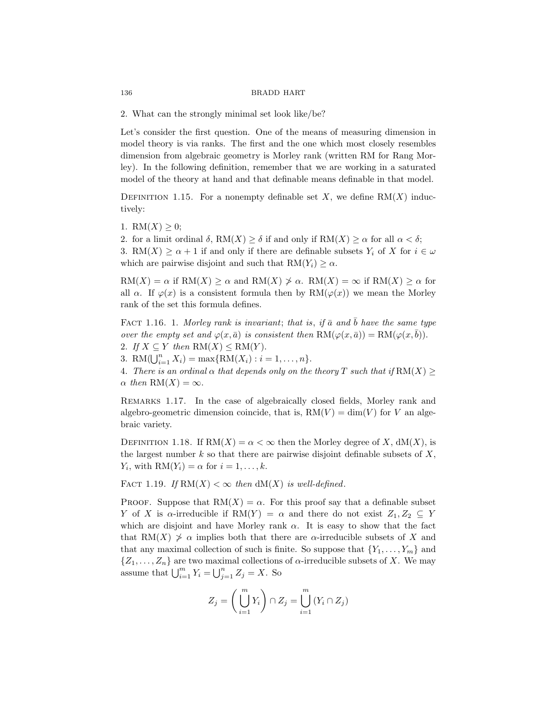2. What can the strongly minimal set look like/be?

Let's consider the first question. One of the means of measuring dimension in model theory is via ranks. The first and the one which most closely resembles dimension from algebraic geometry is Morley rank (written RM for Rang Morley). In the following definition, remember that we are working in a saturated model of the theory at hand and that definable means definable in that model.

DEFINITION 1.15. For a nonempty definable set X, we define  $RM(X)$  inductively:

1. RM $(X) > 0$ ;

2. for a limit ordinal  $\delta$ ,  $RM(X) \geq \delta$  if and only if  $RM(X) \geq \alpha$  for all  $\alpha < \delta$ ;

3. RM(X)  $\geq \alpha + 1$  if and only if there are definable subsets  $Y_i$  of X for  $i \in \omega$ which are pairwise disjoint and such that  $RM(Y_i) \geq \alpha$ .

 $RM(X) = \alpha$  if  $RM(X) \ge \alpha$  and  $RM(X) \ge \alpha$ .  $RM(X) = \infty$  if  $RM(X) \ge \alpha$  for all  $\alpha$ . If  $\varphi(x)$  is a consistent formula then by  $RM(\varphi(x))$  we mean the Morley rank of the set this formula defines.

FACT 1.16. 1. Morley rank is invariant; that is, if  $\bar{a}$  and b have the same type over the empty set and  $\varphi(x,\bar{a})$  is consistent then  $\mathrm{RM}(\varphi(x,\bar{a})) = \mathrm{RM}(\varphi(x,\bar{b})).$ 2. If  $X \subseteq Y$  then  $RM(X) \leq RM(Y)$ .

3. RM( $\bigcup_{i=1}^{n} X_i$ ) = max{RM( $X_i$ ) :  $i = 1, ..., n$  }.

4. There is an ordinal  $\alpha$  that depends only on the theory T such that if  $RM(X) \geq$  $\alpha$  then RM(X) =  $\infty$ .

Remarks 1.17. In the case of algebraically closed fields, Morley rank and algebro-geometric dimension coincide, that is,  $RM(V) = dim(V)$  for V an algebraic variety.

DEFINITION 1.18. If  $RM(X) = \alpha < \infty$  then the Morley degree of X,  $dM(X)$ , is the largest number  $k$  so that there are pairwise disjoint definable subsets of  $X$ ,  $Y_i$ , with  $\text{RM}(Y_i) = \alpha$  for  $i = 1, \ldots, k$ .

FACT 1.19. If  $RM(X) < \infty$  then  $dM(X)$  is well-defined.

PROOF. Suppose that  $RM(X) = \alpha$ . For this proof say that a definable subset Y of X is  $\alpha$ -irreducible if RM(Y) =  $\alpha$  and there do not exist  $Z_1, Z_2 \subseteq Y$ which are disjoint and have Morley rank  $\alpha$ . It is easy to show that the fact that RM(X)  $\neq \alpha$  implies both that there are  $\alpha$ -irreducible subsets of X and that any maximal collection of such is finite. So suppose that  $\{Y_1, \ldots, Y_m\}$  and  $\{Z_1, \ldots, Z_n\}$  are two maximal collections of  $\alpha$ -irreducible subsets of X. We may assume that  $\bigcup_{i=1}^m Y_i = \bigcup_{j=1}^n Z_j = X$ . So

$$
Z_j = \left(\bigcup_{i=1}^m Y_i\right) \cap Z_j = \bigcup_{i=1}^m (Y_i \cap Z_j)
$$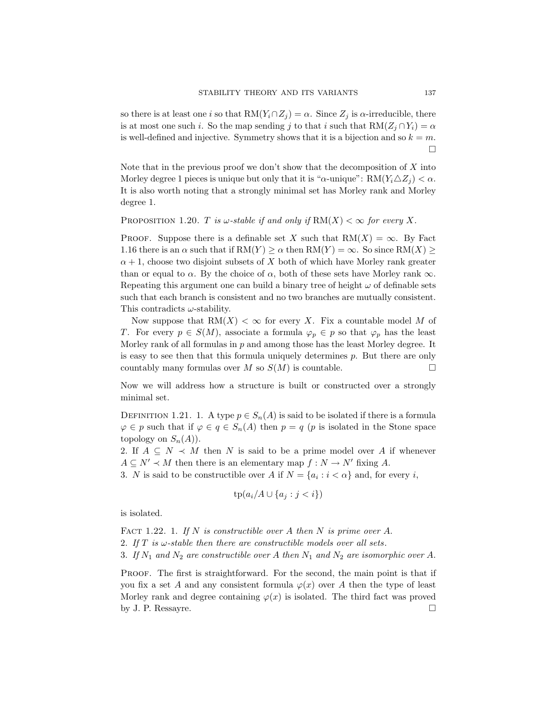so there is at least one i so that  $RM(Y_i \cap Z_j) = \alpha$ . Since  $Z_j$  is  $\alpha$ -irreducible, there is at most one such i. So the map sending j to that i such that  $RM(Z_i \cap Y_i) = \alpha$ is well-defined and injective. Symmetry shows that it is a bijection and so  $k = m$ .  $\Box$ 

Note that in the previous proof we don't show that the decomposition of  $X$  into Morley degree 1 pieces is unique but only that it is " $\alpha$ -unique": RM $(Y_i \triangle Z_j) < \alpha$ . It is also worth noting that a strongly minimal set has Morley rank and Morley degree 1.

## PROPOSITION 1.20. T is  $\omega$ -stable if and only if  $RM(X) < \infty$  for every X.

PROOF. Suppose there is a definable set X such that  $RM(X) = \infty$ . By Fact 1.16 there is an  $\alpha$  such that if  $RM(Y) \ge \alpha$  then  $RM(Y) = \infty$ . So since  $RM(X) \ge$  $\alpha + 1$ , choose two disjoint subsets of X both of which have Morley rank greater than or equal to  $\alpha$ . By the choice of  $\alpha$ , both of these sets have Morley rank  $\infty$ . Repeating this argument one can build a binary tree of height  $\omega$  of definable sets such that each branch is consistent and no two branches are mutually consistent. This contradicts  $\omega$ -stability.

Now suppose that  $RM(X) < \infty$  for every X. Fix a countable model M of T. For every  $p \in S(M)$ , associate a formula  $\varphi_p \in p$  so that  $\varphi_p$  has the least Morley rank of all formulas in  $p$  and among those has the least Morley degree. It is easy to see then that this formula uniquely determines  $p$ . But there are only countably many formulas over M so  $S(M)$  is countable.

Now we will address how a structure is built or constructed over a strongly minimal set.

DEFINITION 1.21. 1. A type  $p \in S_n(A)$  is said to be isolated if there is a formula  $\varphi \in p$  such that if  $\varphi \in q \in S_n(A)$  then  $p = q$  (p is isolated in the Stone space topology on  $S_n(A)$ .

2. If  $A \subseteq N \prec M$  then N is said to be a prime model over A if whenever  $A \subseteq N' \prec M$  then there is an elementary map  $f : N \to N'$  fixing A.

3. N is said to be constructible over A if  $N = \{a_i : i < \alpha\}$  and, for every i,

$$
tp(a_i/A \cup \{a_j : j < i\})
$$

is isolated.

FACT 1.22. 1. If N is constructible over A then N is prime over A.

2. If  $T$  is  $\omega$ -stable then there are constructible models over all sets.

3. If  $N_1$  and  $N_2$  are constructible over A then  $N_1$  and  $N_2$  are isomorphic over A.

Proof. The first is straightforward. For the second, the main point is that if you fix a set A and any consistent formula  $\varphi(x)$  over A then the type of least Morley rank and degree containing  $\varphi(x)$  is isolated. The third fact was proved by J. P. Ressayre.  $\Box$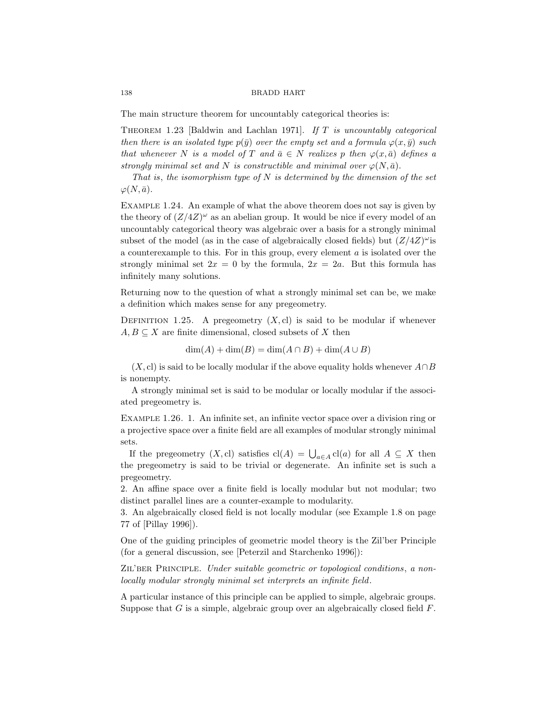The main structure theorem for uncountably categorical theories is:

THEOREM 1.23 [Baldwin and Lachlan 1971]. If  $T$  is uncountably categorical then there is an isolated type  $p(\bar{y})$  over the empty set and a formula  $\varphi(x, \bar{y})$  such that whenever N is a model of T and  $\bar{a} \in N$  realizes p then  $\varphi(x, \bar{a})$  defines a strongly minimal set and N is constructible and minimal over  $\varphi(N,\bar{a})$ .

That is, the isomorphism type of  $N$  is determined by the dimension of the set  $\varphi(N,\bar a).$ 

EXAMPLE 1.24. An example of what the above theorem does not say is given by the theory of  $(Z/4Z)^\omega$  as an abelian group. It would be nice if every model of an uncountably categorical theory was algebraic over a basis for a strongly minimal subset of the model (as in the case of algebraically closed fields) but  $(Z/4Z)^\omega$  is a counterexample to this. For in this group, every element  $a$  is isolated over the strongly minimal set  $2x = 0$  by the formula,  $2x = 2a$ . But this formula has infinitely many solutions.

Returning now to the question of what a strongly minimal set can be, we make a definition which makes sense for any pregeometry.

DEFINITION 1.25. A pregeometry  $(X, c)$  is said to be modular if whenever  $A, B \subseteq X$  are finite dimensional, closed subsets of X then

 $\dim(A) + \dim(B) = \dim(A \cap B) + \dim(A \cup B)$ 

 $(X, c)$  is said to be locally modular if the above equality holds whenever  $A \cap B$ is nonempty.

A strongly minimal set is said to be modular or locally modular if the associated pregeometry is.

Example 1.26. 1. An infinite set, an infinite vector space over a division ring or a projective space over a finite field are all examples of modular strongly minimal sets.

If the pregeometry  $(X, c)$  satisfies  $cl(A) = \bigcup_{a \in A} cl(a)$  for all  $A \subseteq X$  then the pregeometry is said to be trivial or degenerate. An infinite set is such a pregeometry.

2. An affine space over a finite field is locally modular but not modular; two distinct parallel lines are a counter-example to modularity.

3. An algebraically closed field is not locally modular (see Example 1.8 on page 77 of [Pillay 1996]).

One of the guiding principles of geometric model theory is the Zil'ber Principle (for a general discussion, see [Peterzil and Starchenko 1996]):

ZIL'BER PRINCIPLE. Under suitable geometric or topological conditions, a nonlocally modular strongly minimal set interprets an infinite field.

A particular instance of this principle can be applied to simple, algebraic groups. Suppose that  $G$  is a simple, algebraic group over an algebraically closed field  $F$ .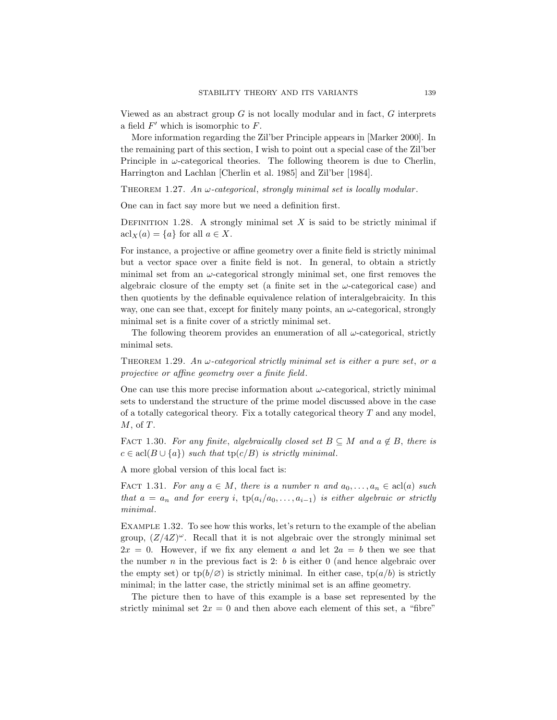Viewed as an abstract group  $G$  is not locally modular and in fact,  $G$  interprets a field  $F'$  which is isomorphic to  $F$ .

More information regarding the Zil'ber Principle appears in [Marker 2000]. In the remaining part of this section, I wish to point out a special case of the Zil'ber Principle in  $\omega$ -categorical theories. The following theorem is due to Cherlin, Harrington and Lachlan [Cherlin et al. 1985] and Zil'ber [1984].

THEOREM 1.27. An  $\omega$ -categorical, strongly minimal set is locally modular.

One can in fact say more but we need a definition first.

DEFINITION 1.28. A strongly minimal set  $X$  is said to be strictly minimal if  $\operatorname{acl}_X(a) = \{a\}$  for all  $a \in X$ .

For instance, a projective or affine geometry over a finite field is strictly minimal but a vector space over a finite field is not. In general, to obtain a strictly minimal set from an  $\omega$ -categorical strongly minimal set, one first removes the algebraic closure of the empty set (a finite set in the  $\omega$ -categorical case) and then quotients by the definable equivalence relation of interalgebraicity. In this way, one can see that, except for finitely many points, an  $\omega$ -categorical, strongly minimal set is a finite cover of a strictly minimal set.

The following theorem provides an enumeration of all  $\omega$ -categorical, strictly minimal sets.

THEOREM 1.29. An  $\omega$ -categorical strictly minimal set is either a pure set, or a projective or affine geometry over a finite field.

One can use this more precise information about  $\omega$ -categorical, strictly minimal sets to understand the structure of the prime model discussed above in the case of a totally categorical theory. Fix a totally categorical theory  $T$  and any model,  $M$ , of  $T$ .

FACT 1.30. For any finite, algebraically closed set  $B \subseteq M$  and  $a \notin B$ , there is  $c \in \operatorname{acl}(B \cup \{a\})$  such that  $\operatorname{tp}(c/B)$  is strictly minimal.

A more global version of this local fact is:

FACT 1.31. For any  $a \in M$ , there is a number n and  $a_0, \ldots, a_n \in \text{acl}(a)$  such that  $a = a_n$  and for every i,  $tp(a_i/a_0, \ldots, a_{i-1})$  is either algebraic or strictly minimal.

Example 1.32. To see how this works, let's return to the example of the abelian group,  $(Z/4Z)^\omega$ . Recall that it is not algebraic over the strongly minimal set  $2x = 0$ . However, if we fix any element a and let  $2a = b$  then we see that the number n in the previous fact is 2: b is either 0 (and hence algebraic over the empty set) or  $tp(b/\varnothing)$  is strictly minimal. In either case,  $tp(a/b)$  is strictly minimal; in the latter case, the strictly minimal set is an affine geometry.

The picture then to have of this example is a base set represented by the strictly minimal set  $2x = 0$  and then above each element of this set, a "fibre"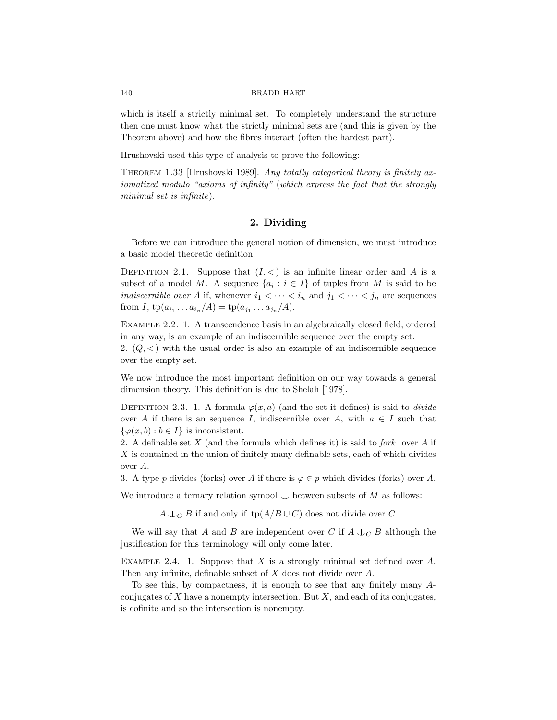which is itself a strictly minimal set. To completely understand the structure then one must know what the strictly minimal sets are (and this is given by the Theorem above) and how the fibres interact (often the hardest part).

Hrushovski used this type of analysis to prove the following:

Theorem 1.33 [Hrushovski 1989]. Any totally categorical theory is finitely axiomatized modulo "axioms of infinity" (which express the fact that the strongly minimal set is infinite).

## 2. Dividing

Before we can introduce the general notion of dimension, we must introduce a basic model theoretic definition.

DEFINITION 2.1. Suppose that  $(I, <)$  is an infinite linear order and A is a subset of a model M. A sequence  $\{a_i : i \in I\}$  of tuples from M is said to be indiscernible over A if, whenever  $i_1 < \cdots < i_n$  and  $j_1 < \cdots < j_n$  are sequences from I,  $tp(a_{i_1} \ldots a_{i_n}/A) = tp(a_{j_1} \ldots a_{j_n}/A)$ .

Example 2.2. 1. A transcendence basis in an algebraically closed field, ordered in any way, is an example of an indiscernible sequence over the empty set.

2.  $(Q, \leq)$  with the usual order is also an example of an indiscernible sequence over the empty set.

We now introduce the most important definition on our way towards a general dimension theory. This definition is due to Shelah [1978].

DEFINITION 2.3. 1. A formula  $\varphi(x, a)$  (and the set it defines) is said to *divide* over A if there is an sequence I, indiscernible over A, with  $a \in I$  such that  $\{\varphi(x, b) : b \in I\}$  is inconsistent.

2. A definable set  $X$  (and the formula which defines it) is said to *fork* over  $A$  if X is contained in the union of finitely many definable sets, each of which divides over A.

3. A type p divides (forks) over A if there is  $\varphi \in p$  which divides (forks) over A.

We introduce a ternary relation symbol  $\perp$  between subsets of M as follows:

 $A \cup_C B$  if and only if tp( $A/B \cup C$ ) does not divide over C.

We will say that A and B are independent over C if  $A \cup_C B$  although the justification for this terminology will only come later.

EXAMPLE 2.4. 1. Suppose that X is a strongly minimal set defined over A. Then any infinite, definable subset of X does not divide over A.

To see this, by compactness, it is enough to see that any finitely many Aconjugates of  $X$  have a nonempty intersection. But  $X$ , and each of its conjugates, is cofinite and so the intersection is nonempty.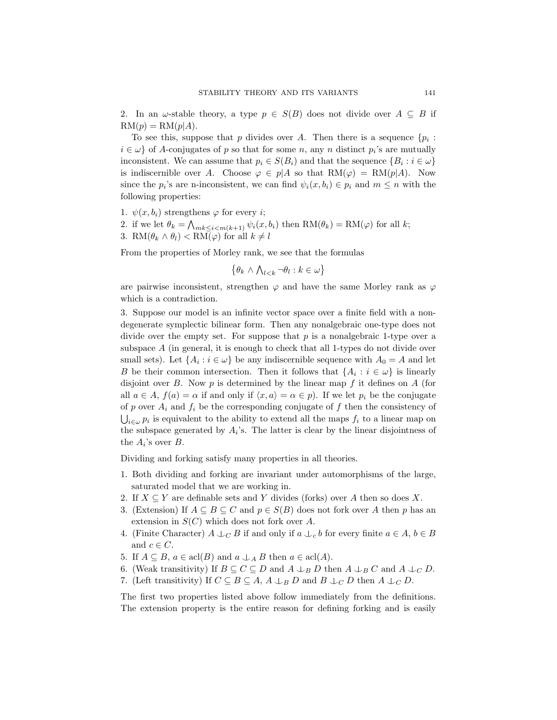2. In an  $\omega$ -stable theory, a type  $p \in S(B)$  does not divide over  $A \subseteq B$  if  $RM(p) = RM(p|A).$ 

To see this, suppose that p divides over A. Then there is a sequence  $\{p_i :$  $i \in \omega$  of A-conjugates of p so that for some n, any n distinct  $p_i$ 's are mutually inconsistent. We can assume that  $p_i \in S(B_i)$  and that the sequence  $\{B_i : i \in \omega\}$ is indiscernible over A. Choose  $\varphi \in p | A$  so that  $\text{RM}(\varphi) = \text{RM}(p|A)$ . Now since the  $p_i$ 's are n-inconsistent, we can find  $\psi_i(x, b_i) \in p_i$  and  $m \leq n$  with the following properties:

- 1.  $\psi(x, b_i)$  strengthens  $\varphi$  for every *i*;
- 2. if we let  $\theta_k = \bigwedge_{mk \leq i < m(k+1)} \psi_i(x, b_i)$  then  $\text{RM}(\theta_k) = \text{RM}(\varphi)$  for all k; 3. RM $(\theta_k \wedge \theta_l) <$ RM $\overline{(\varphi)}$  for all  $k \neq l$

From the properties of Morley rank, we see that the formulas

$$
\left\{\theta_k \wedge \bigwedge_{l < k} \neg \theta_l : k \in \omega\right\}
$$

are pairwise inconsistent, strengthen  $\varphi$  and have the same Morley rank as  $\varphi$ which is a contradiction.

3. Suppose our model is an infinite vector space over a finite field with a nondegenerate symplectic bilinear form. Then any nonalgebraic one-type does not divide over the empty set. For suppose that  $p$  is a nonalgebraic 1-type over a subspace A (in general, it is enough to check that all 1-types do not divide over small sets). Let  $\{A_i : i \in \omega\}$  be any indiscernible sequence with  $A_0 = A$  and let B be their common intersection. Then it follows that  $\{A_i : i \in \omega\}$  is linearly disjoint over B. Now p is determined by the linear map f it defines on A (for all  $a \in A$ ,  $f(a) = \alpha$  if and only if  $\langle x, a \rangle = \alpha \in p$ . If we let  $p_i$  be the conjugate of p over  $A_i$  and  $f_i$  be the corresponding conjugate of f then the consistency of  $\bigcup_{i\in\omega}p_i$  is equivalent to the ability to extend all the maps  $f_i$  to a linear map on the subspace generated by  $A_i$ 's. The latter is clear by the linear disjointness of the  $A_i$ 's over  $B$ .

Dividing and forking satisfy many properties in all theories.

- 1. Both dividing and forking are invariant under automorphisms of the large, saturated model that we are working in.
- 2. If  $X \subseteq Y$  are definable sets and Y divides (forks) over A then so does X.
- 3. (Extension) If  $A \subseteq B \subseteq C$  and  $p \in S(B)$  does not fork over A then p has an extension in  $S(C)$  which does not fork over A.
- 4. (Finite Character)  $A \cup_C B$  if and only if  $a \cup_c b$  for every finite  $a \in A$ ,  $b \in B$ and  $c \in C$ .
- 5. If  $A \subseteq B$ ,  $a \in \text{acl}(B)$  and  $a \cup_A B$  then  $a \in \text{acl}(A)$ .
- 6. (Weak transitivity) If  $B \subseteq C \subseteq D$  and  $A \cup_B D$  then  $A \cup_B C$  and  $A \cup_C D$ .
- 7. (Left transitivity) If  $C \subseteq B \subseteq A$ ,  $A \cup_B D$  and  $B \cup_C D$  then  $A \cup_C D$ .

The first two properties listed above follow immediately from the definitions. The extension property is the entire reason for defining forking and is easily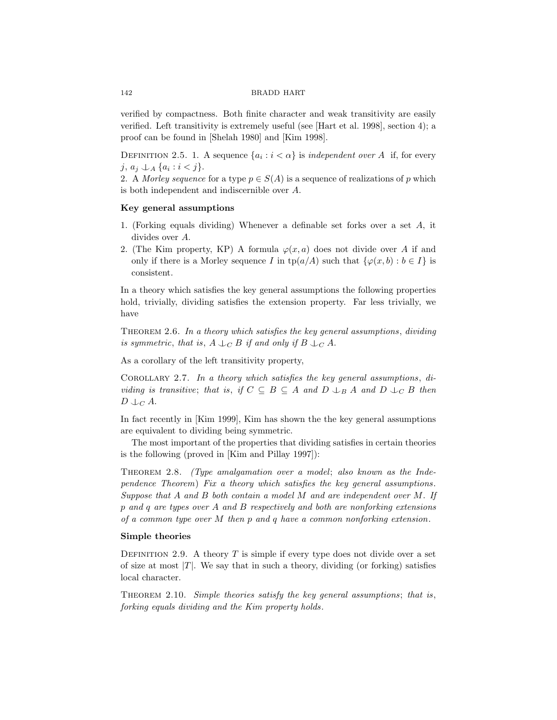verified by compactness. Both finite character and weak transitivity are easily verified. Left transitivity is extremely useful (see [Hart et al. 1998], section 4); a proof can be found in [Shelah 1980] and [Kim 1998].

DEFINITION 2.5. 1. A sequence  $\{a_i : i < \alpha\}$  is *independent over* A if, for every j,  $a_j \perp_A \{a_i : i < j\}.$ 

2. A Morley sequence for a type  $p \in S(A)$  is a sequence of realizations of p which is both independent and indiscernible over A.

### Key general assumptions

- 1. (Forking equals dividing) Whenever a definable set forks over a set A, it divides over A.
- 2. (The Kim property, KP) A formula  $\varphi(x, a)$  does not divide over A if and only if there is a Morley sequence I in  $tp(a/A)$  such that  $\{\varphi(x, b) : b \in I\}$  is consistent.

In a theory which satisfies the key general assumptions the following properties hold, trivially, dividing satisfies the extension property. Far less trivially, we have

Theorem 2.6. In a theory which satisfies the key general assumptions, dividing is symmetric, that is,  $A \cup_C B$  if and only if  $B \cup_C A$ .

As a corollary of the left transitivity property,

COROLLARY 2.7. In a theory which satisfies the key general assumptions, dividing is transitive; that is, if  $C \subseteq B \subseteq A$  and  $D \cup_B A$  and  $D \cup_C B$  then  $D \cup_C A$ .

In fact recently in [Kim 1999], Kim has shown the the key general assumptions are equivalent to dividing being symmetric.

The most important of the properties that dividing satisfies in certain theories is the following (proved in [Kim and Pillay 1997]):

THEOREM 2.8. (Type amalgamation over a model; also known as the Independence Theorem) Fix a theory which satisfies the key general assumptions. Suppose that A and B both contain a model M and are independent over M. If p and q are types over A and B respectively and both are nonforking extensions of a common type over M then p and q have a common nonforking extension.

### Simple theories

DEFINITION 2.9. A theory  $T$  is simple if every type does not divide over a set of size at most  $|T|$ . We say that in such a theory, dividing (or forking) satisfies local character.

THEOREM 2.10. Simple theories satisfy the key general assumptions; that is, forking equals dividing and the Kim property holds.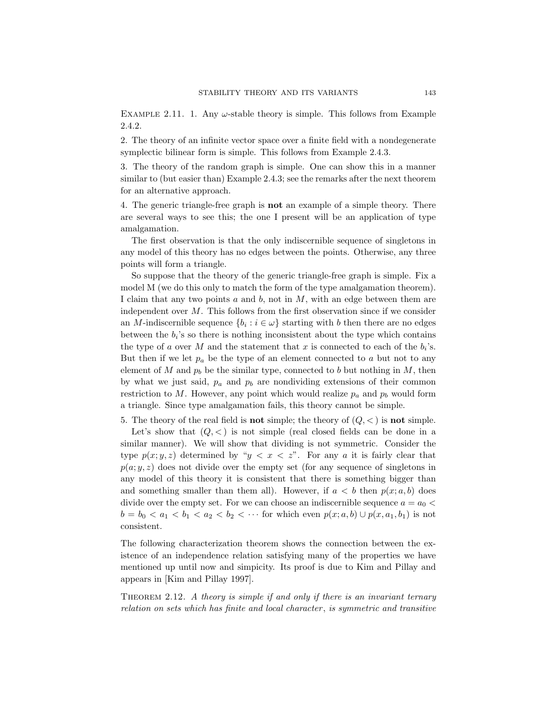EXAMPLE 2.11. 1. Any  $\omega$ -stable theory is simple. This follows from Example 2.4.2.

2. The theory of an infinite vector space over a finite field with a nondegenerate symplectic bilinear form is simple. This follows from Example 2.4.3.

3. The theory of the random graph is simple. One can show this in a manner similar to (but easier than) Example 2.4.3; see the remarks after the next theorem for an alternative approach.

4. The generic triangle-free graph is not an example of a simple theory. There are several ways to see this; the one I present will be an application of type amalgamation.

The first observation is that the only indiscernible sequence of singletons in any model of this theory has no edges between the points. Otherwise, any three points will form a triangle.

So suppose that the theory of the generic triangle-free graph is simple. Fix a model M (we do this only to match the form of the type amalgamation theorem). I claim that any two points  $a$  and  $b$ , not in  $M$ , with an edge between them are independent over M. This follows from the first observation since if we consider an M-indiscernible sequence  $\{b_i : i \in \omega\}$  starting with b then there are no edges between the  $b_i$ 's so there is nothing inconsistent about the type which contains the type of a over M and the statement that x is connected to each of the  $b_i$ 's. But then if we let  $p_a$  be the type of an element connected to  $a$  but not to any element of M and  $p_b$  be the similar type, connected to b but nothing in M, then by what we just said,  $p_a$  and  $p_b$  are nondividing extensions of their common restriction to M. However, any point which would realize  $p_a$  and  $p_b$  would form a triangle. Since type amalgamation fails, this theory cannot be simple.

5. The theory of the real field is **not** simple; the theory of  $(Q, \langle \rangle)$  is **not** simple.

Let's show that  $(Q, \leq)$  is not simple (real closed fields can be done in a similar manner). We will show that dividing is not symmetric. Consider the type  $p(x; y, z)$  determined by " $y < x < z$ ". For any a it is fairly clear that  $p(a; y, z)$  does not divide over the empty set (for any sequence of singletons in any model of this theory it is consistent that there is something bigger than and something smaller than them all). However, if  $a < b$  then  $p(x; a, b)$  does divide over the empty set. For we can choose an indiscernible sequence  $a = a_0$  $b = b_0 < a_1 < b_1 < a_2 < b_2 < \cdots$  for which even  $p(x; a, b) \cup p(x, a_1, b_1)$  is not consistent.

The following characterization theorem shows the connection between the existence of an independence relation satisfying many of the properties we have mentioned up until now and simpicity. Its proof is due to Kim and Pillay and appears in [Kim and Pillay 1997].

THEOREM 2.12. A theory is simple if and only if there is an invariant ternary relation on sets which has finite and local character, is symmetric and transitive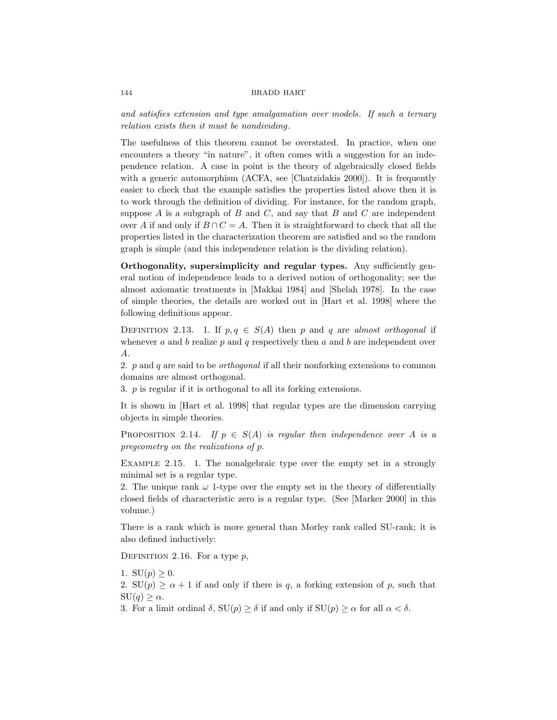and satisfies extension and type amalgamation over models. If such a ternary relation exists then it must be nondividing.

The usefulness of this theorem cannot be overstated. In practice, when one encounters a theory "in nature", it often comes with a suggestion for an independence relation. A case in point is the theory of algebraically closed fields with a generic automorphism (ACFA, see [Chatzidakis 2000]). It is frequently easier to check that the example satisfies the properties listed above then it is to work through the definition of dividing. For instance, for the random graph, suppose A is a subgraph of B and C, and say that B and C are independent over A if and only if  $B \cap C = A$ . Then it is straightforward to check that all the properties listed in the characterization theorem are satisfied and so the random graph is simple (and this independence relation is the dividing relation).

Orthogonality, supersimplicity and regular types. Any sufficiently general notion of independence leads to a derived notion of orthogonality; see the almost axiomatic treatments in [Makkai 1984] and [Shelah 1978]. In the case of simple theories, the details are worked out in [Hart et al. 1998] where the following definitions appear.

DEFINITION 2.13. 1. If  $p, q \in S(A)$  then p and q are almost orthogonal if whenever a and b realize p and q respectively then a and b are independent over A.

2.  $p$  and  $q$  are said to be *orthogonal* if all their nonforking extensions to common domains are almost orthogonal.

3. p is regular if it is orthogonal to all its forking extensions.

It is shown in [Hart et al. 1998] that regular types are the dimension carrying objects in simple theories.

PROPOSITION 2.14. If  $p \in S(A)$  is regular then independence over A is a pregeometry on the realizations of p.

Example 2.15. 1. The nonalgebraic type over the empty set in a strongly minimal set is a regular type.

2. The unique rank  $\omega$  1-type over the empty set in the theory of differentially closed fields of characteristic zero is a regular type. (See [Marker 2000] in this volume.)

There is a rank which is more general than Morley rank called SU-rank; it is also defined inductively:

DEFINITION 2.16. For a type  $p$ ,

1.  $SU(p) > 0$ .

2. SU(p)  $\geq \alpha + 1$  if and only if there is q, a forking extension of p, such that  $\text{SU}(q) \geq \alpha$ .

3. For a limit ordinal  $\delta$ ,  $SU(p) \geq \delta$  if and only if  $SU(p) \geq \alpha$  for all  $\alpha < \delta$ .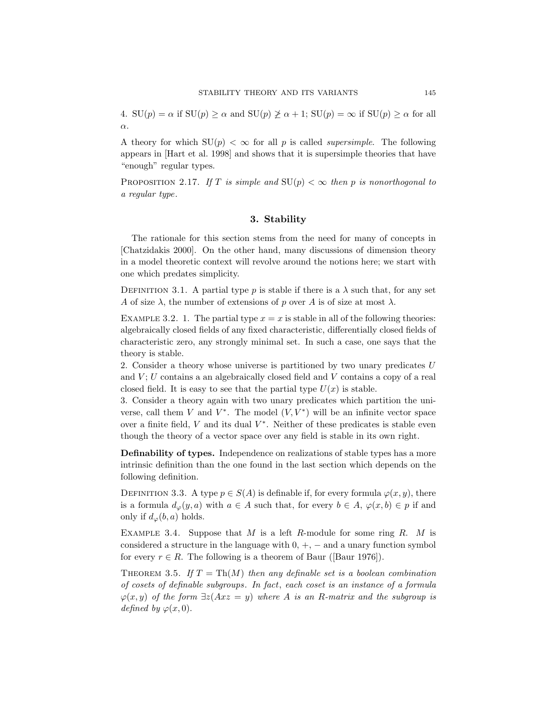4.  $SU(p) = \alpha$  if  $SU(p) \ge \alpha$  and  $SU(p) \ge \alpha + 1$ ;  $SU(p) = \infty$  if  $SU(p) \ge \alpha$  for all α.

A theory for which  $SU(p) < \infty$  for all p is called *supersimple*. The following appears in [Hart et al. 1998] and shows that it is supersimple theories that have "enough" regular types.

PROPOSITION 2.17. If T is simple and  $SU(p) < \infty$  then p is nonorthogonal to a regular type.

## 3. Stability

The rationale for this section stems from the need for many of concepts in [Chatzidakis 2000]. On the other hand, many discussions of dimension theory in a model theoretic context will revolve around the notions here; we start with one which predates simplicity.

DEFINITION 3.1. A partial type p is stable if there is a  $\lambda$  such that, for any set A of size  $\lambda$ , the number of extensions of p over A is of size at most  $\lambda$ .

EXAMPLE 3.2. 1. The partial type  $x = x$  is stable in all of the following theories: algebraically closed fields of any fixed characteristic, differentially closed fields of characteristic zero, any strongly minimal set. In such a case, one says that the theory is stable.

2. Consider a theory whose universe is partitioned by two unary predicates U and  $V$ ;  $U$  contains a an algebraically closed field and  $V$  contains a copy of a real closed field. It is easy to see that the partial type  $U(x)$  is stable.

3. Consider a theory again with two unary predicates which partition the universe, call them V and  $V^*$ . The model  $(V, V^*)$  will be an infinite vector space over a finite field, V and its dual  $V^*$ . Neither of these predicates is stable even though the theory of a vector space over any field is stable in its own right.

Definability of types. Independence on realizations of stable types has a more intrinsic definition than the one found in the last section which depends on the following definition.

DEFINITION 3.3. A type  $p \in S(A)$  is definable if, for every formula  $\varphi(x, y)$ , there is a formula  $d_{\varphi}(y, a)$  with  $a \in A$  such that, for every  $b \in A$ ,  $\varphi(x, b) \in p$  if and only if  $d_{\varphi}(b, a)$  holds.

EXAMPLE 3.4. Suppose that M is a left R-module for some ring R. M is considered a structure in the language with  $0, +, -$  and a unary function symbol for every  $r \in R$ . The following is a theorem of Baur ([Baur 1976]).

THEOREM 3.5. If  $T = Th(M)$  then any definable set is a boolean combination of cosets of definable subgroups. In fact, each coset is an instance of a formula  $\varphi(x, y)$  of the form  $\exists z(Axz = y)$  where A is an R-matrix and the subgroup is defined by  $\varphi(x, 0)$ .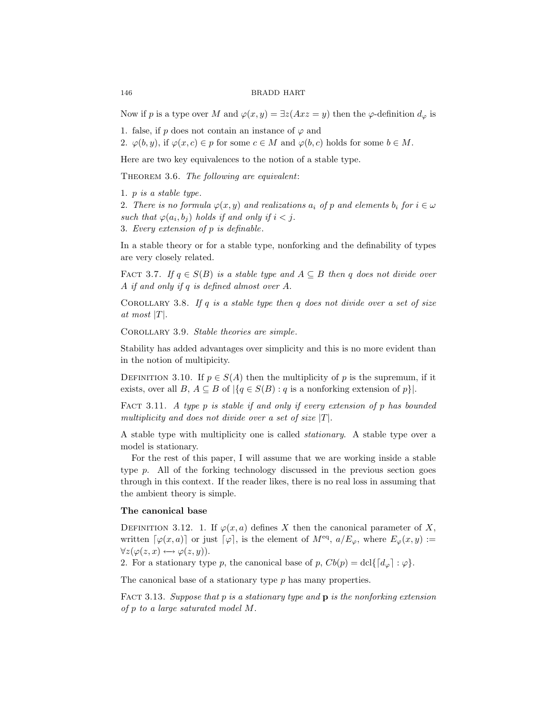Now if p is a type over M and  $\varphi(x, y) = \exists z(Axz = y)$  then the  $\varphi$ -definition  $d_{\varphi}$  is

1. false, if p does not contain an instance of  $\varphi$  and

2.  $\varphi(b, y)$ , if  $\varphi(x, c) \in p$  for some  $c \in M$  and  $\varphi(b, c)$  holds for some  $b \in M$ .

Here are two key equivalences to the notion of a stable type.

THEOREM 3.6. The following are equivalent:

1. p is a stable type.

2. There is no formula  $\varphi(x, y)$  and realizations  $a_i$  of p and elements  $b_i$  for  $i \in \omega$ such that  $\varphi(a_i, b_j)$  holds if and only if  $i < j$ .

3. Every extension of p is definable.

In a stable theory or for a stable type, nonforking and the definability of types are very closely related.

FACT 3.7. If  $q \in S(B)$  is a stable type and  $A \subseteq B$  then q does not divide over A if and only if q is defined almost over A.

COROLLARY 3.8. If  $q$  is a stable type then  $q$  does not divide over a set of size at most  $|T|$ .

COROLLARY 3.9. Stable theories are simple.

Stability has added advantages over simplicity and this is no more evident than in the notion of multipicity.

DEFINITION 3.10. If  $p \in S(A)$  then the multiplicity of p is the supremum, if it exists, over all B,  $A \subseteq B$  of  $|\{q \in S(B) : q$  is a nonforking extension of  $p\}|$ .

FACT 3.11. A type  $p$  is stable if and only if every extension of  $p$  has bounded multiplicity and does not divide over a set of size  $|T|$ .

A stable type with multiplicity one is called stationary. A stable type over a model is stationary.

For the rest of this paper, I will assume that we are working inside a stable type p. All of the forking technology discussed in the previous section goes through in this context. If the reader likes, there is no real loss in assuming that the ambient theory is simple.

## The canonical base

DEFINITION 3.12. 1. If  $\varphi(x, a)$  defines X then the canonical parameter of X, written  $\lceil \varphi(x, a) \rceil$  or just  $\lceil \varphi \rceil$ , is the element of  $M^{eq}$ ,  $a/E_{\varphi}$ , where  $E_{\varphi}(x, y) :=$  $\forall z(\varphi(z,x) \longleftrightarrow \varphi(z,y)).$ 

2. For a stationary type p, the canonical base of p,  $Cb(p) = \text{dcl}(\lceil d_{\varphi} \rceil : \varphi)$ .

The canonical base of a stationary type  $p$  has many properties.

FACT 3.13. Suppose that p is a stationary type and  $\bf{p}$  is the nonforking extension of p to a large saturated model M.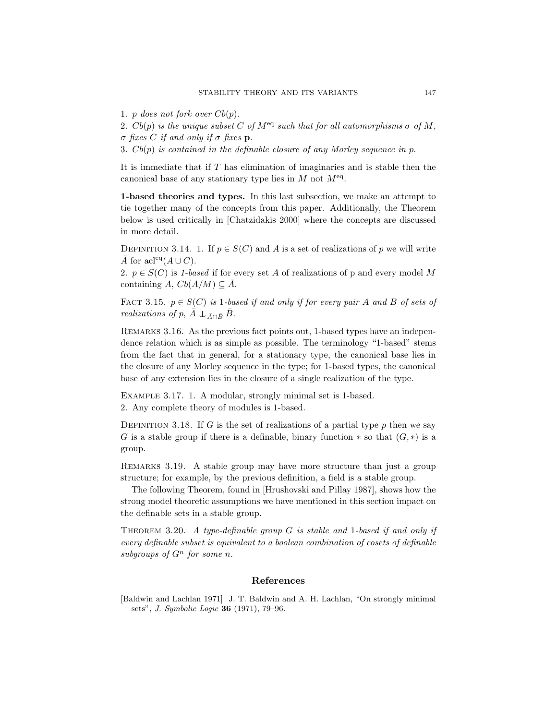- 1. p does not fork over  $Cb(p)$ .
- 2.  $Cb(p)$  is the unique subset C of  $M^{eq}$  such that for all automorphisms  $\sigma$  of M,
- σ fixes C if and only if σ fixes **p**.
- 3.  $Cb(p)$  is contained in the definable closure of any Morley sequence in  $p$ .

It is immediate that if T has elimination of imaginaries and is stable then the canonical base of any stationary type lies in  $M$  not  $M<sup>eq</sup>$ .

1-based theories and types. In this last subsection, we make an attempt to tie together many of the concepts from this paper. Additionally, the Theorem below is used critically in [Chatzidakis 2000] where the concepts are discussed in more detail.

DEFINITION 3.14. 1. If  $p \in S(C)$  and A is a set of realizations of p we will write  $\overline{A}$  for acl<sup>eq</sup>( $A \cup C$ ).

2.  $p \in S(C)$  is 1-based if for every set A of realizations of p and every model M containing  $A, Cb(A/M) \subseteq \overline{A}$ .

FACT 3.15.  $p \in S(C)$  is 1-based if and only if for every pair A and B of sets of realizations of p,  $\bar{A} \cup \bar{A} \cap \bar{B}$ .

REMARKS 3.16. As the previous fact points out, 1-based types have an independence relation which is as simple as possible. The terminology "1-based" stems from the fact that in general, for a stationary type, the canonical base lies in the closure of any Morley sequence in the type; for 1-based types, the canonical base of any extension lies in the closure of a single realization of the type.

Example 3.17. 1. A modular, strongly minimal set is 1-based. 2. Any complete theory of modules is 1-based.

DEFINITION 3.18. If G is the set of realizations of a partial type  $p$  then we say G is a stable group if there is a definable, binary function  $*$  so that  $(G, *)$  is a group.

REMARKS 3.19. A stable group may have more structure than just a group structure; for example, by the previous definition, a field is a stable group.

The following Theorem, found in [Hrushovski and Pillay 1987], shows how the strong model theoretic assumptions we have mentioned in this section impact on the definable sets in a stable group.

THEOREM 3.20. A type-definable group  $G$  is stable and 1-based if and only if every definable subset is equivalent to a boolean combination of cosets of definable subgroups of  $G<sup>n</sup>$  for some n.

## References

<sup>[</sup>Baldwin and Lachlan 1971] J. T. Baldwin and A. H. Lachlan, "On strongly minimal sets", J. Symbolic Logic 36 (1971), 79–96.